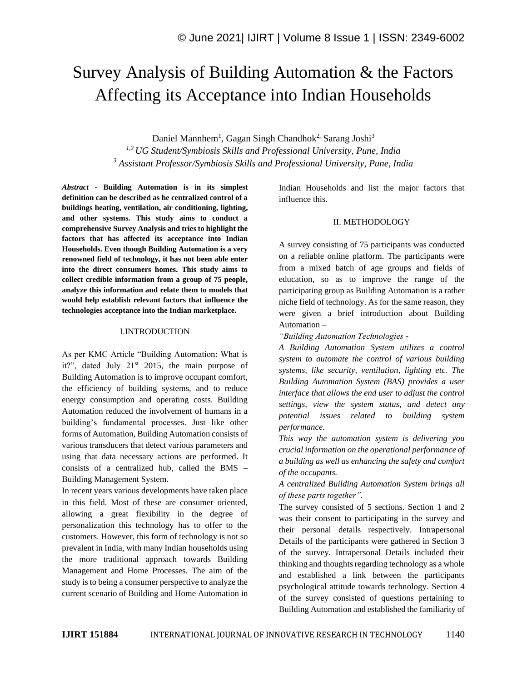# Survey Analysis of Building Automation & the Factors Affecting its Acceptance into Indian Households

Daniel Mannhem<sup>1</sup>, Gagan Singh Chandhok<sup>2,</sup> Sarang Joshi<sup>3</sup> *1,2 UG Student/Symbiosis Skills and Professional University, Pune, India <sup>3</sup> Assistant Professor/Symbiosis Skills and Professional University, Pune, India*

*Abstract -* **Building Automation is in its simplest definition can be described as he centralized control of a buildings heating, ventilation, air conditioning, lighting, and other systems. This study aims to conduct a comprehensive Survey Analysis and tries to highlight the factors that has affected its acceptance into Indian Households. Even though Building Automation is a very renowned field of technology, it has not been able enter into the direct consumers homes. This study aims to collect credible information from a group of 75 people, analyze this information and relate them to models that would help establish relevant factors that influence the technologies acceptance into the Indian marketplace.** 

### I.INTRODUCTION

As per KMC Article "Building Automation: What is it?", dated July  $21<sup>st</sup>$  2015, the main purpose of Building Automation is to improve occupant comfort, the efficiency of building systems, and to reduce energy consumption and operating costs. Building Automation reduced the involvement of humans in a building's fundamental processes. Just like other forms of Automation, Building Automation consists of various transducers that detect various parameters and using that data necessary actions are performed. It consists of a centralized hub, called the BMS – Building Management System.

In recent years various developments have taken place in this field. Most of these are consumer oriented, allowing a great flexibility in the degree of personalization this technology has to offer to the customers. However, this form of technology is not so prevalent in India, with many Indian households using the more traditional approach towards Building Management and Home Processes. The aim of the study is to being a consumer perspective to analyze the current scenario of Building and Home Automation in Indian Households and list the major factors that influence this.

## II. METHODOLOGY

A survey consisting of 75 participants was conducted on a reliable online platform. The participants were from a mixed batch of age groups and fields of education, so as to improve the range of the participating group as Building Automation is a rather niche field of technology. As for the same reason, they were given a brief introduction about Building Automation –

*"Building Automation Technologies -*

*A Building Automation System utilizes a control system to automate the control of various building systems, like security, ventilation, lighting etc. The Building Automation System (BAS) provides a user interface that allows the end user to adjust the control settings, view the system status, and detect any potential issues related to building system performance.*

*This way the automation system is delivering you crucial information on the operational performance of a building as well as enhancing the safety and comfort of the occupants.*

*A centralized Building Automation System brings all of these parts together".*

The survey consisted of 5 sections. Section 1 and 2 was their consent to participating in the survey and their personal details respectively. Intrapersonal Details of the participants were gathered in Section 3 of the survey. Intrapersonal Details included their thinking and thoughts regarding technology as a whole and established a link between the participants psychological attitude towards technology. Section 4 of the survey consisted of questions pertaining to Building Automation and established the familiarity of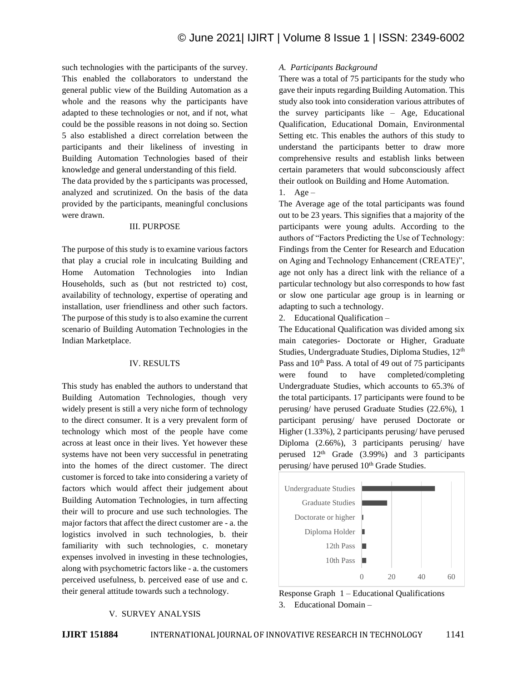such technologies with the participants of the survey. This enabled the collaborators to understand the general public view of the Building Automation as a whole and the reasons why the participants have adapted to these technologies or not, and if not, what could be the possible reasons in not doing so. Section 5 also established a direct correlation between the participants and their likeliness of investing in Building Automation Technologies based of their knowledge and general understanding of this field.

The data provided by the s participants was processed, analyzed and scrutinized. On the basis of the data provided by the participants, meaningful conclusions were drawn.

### III. PURPOSE

The purpose of this study is to examine various factors that play a crucial role in inculcating Building and Home Automation Technologies into Indian Households, such as (but not restricted to) cost, availability of technology, expertise of operating and installation, user friendliness and other such factors. The purpose of this study is to also examine the current scenario of Building Automation Technologies in the Indian Marketplace.

### IV. RESULTS

This study has enabled the authors to understand that Building Automation Technologies, though very widely present is still a very niche form of technology to the direct consumer. It is a very prevalent form of technology which most of the people have come across at least once in their lives. Yet however these systems have not been very successful in penetrating into the homes of the direct customer. The direct customer is forced to take into considering a variety of factors which would affect their judgement about Building Automation Technologies, in turn affecting their will to procure and use such technologies. The major factors that affect the direct customer are - a. the logistics involved in such technologies, b. their familiarity with such technologies, c. monetary expenses involved in investing in these technologies, along with psychometric factors like - a. the customers perceived usefulness, b. perceived ease of use and c. their general attitude towards such a technology.

### V. SURVEY ANALYSIS

#### *A. Participants Background*

There was a total of 75 participants for the study who gave their inputs regarding Building Automation. This study also took into consideration various attributes of the survey participants like – Age, Educational Qualification, Educational Domain, Environmental Setting etc. This enables the authors of this study to understand the participants better to draw more comprehensive results and establish links between certain parameters that would subconsciously affect their outlook on Building and Home Automation.

1. Age  $-$ 

The Average age of the total participants was found out to be 23 years. This signifies that a majority of the participants were young adults. According to the authors of "Factors Predicting the Use of Technology: Findings from the Center for Research and Education on Aging and Technology Enhancement (CREATE)", age not only has a direct link with the reliance of a particular technology but also corresponds to how fast or slow one particular age group is in learning or adapting to such a technology.

2. Educational Qualification –

The Educational Qualification was divided among six main categories- Doctorate or Higher, Graduate Studies, Undergraduate Studies, Diploma Studies, 12<sup>th</sup> Pass and 10<sup>th</sup> Pass. A total of 49 out of 75 participants were found to have completed/completing Undergraduate Studies, which accounts to 65.3% of the total participants. 17 participants were found to be perusing/ have perused Graduate Studies (22.6%), 1 participant perusing/ have perused Doctorate or Higher (1.33%), 2 participants perusing/ have perused Diploma (2.66%), 3 participants perusing/ have perused  $12<sup>th</sup>$  Grade (3.99%) and 3 participants perusing/ have perused  $10<sup>th</sup>$  Grade Studies.



Response Graph 1 – Educational Qualifications 3. Educational Domain –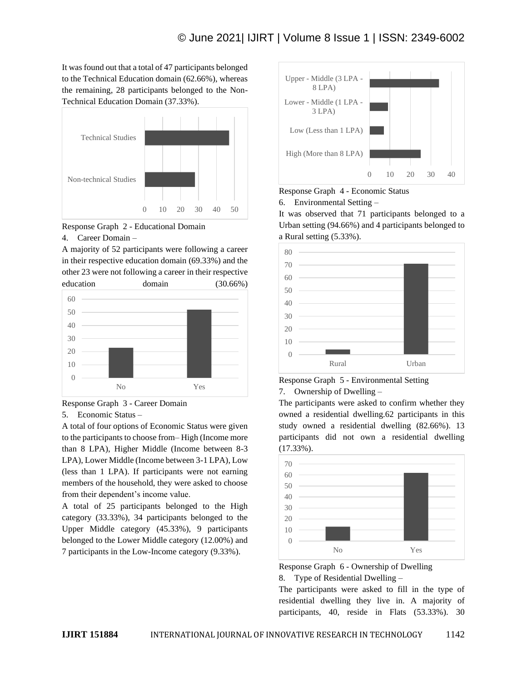It was found out that a total of 47 participants belonged to the Technical Education domain (62.66%), whereas the remaining, 28 participants belonged to the Non-Technical Education Domain (37.33%).





#### 4. Career Domain –

A majority of 52 participants were following a career in their respective education domain (69.33%) and the other 23 were not following a career in their respective education domain (30.66%)





5. Economic Status –

A total of four options of Economic Status were given to the participants to choose from– High (Income more than 8 LPA), Higher Middle (Income between 8-3 LPA), Lower Middle (Income between 3-1 LPA), Low (less than 1 LPA). If participants were not earning members of the household, they were asked to choose from their dependent's income value.

A total of 25 participants belonged to the High category (33.33%), 34 participants belonged to the Upper Middle category (45.33%), 9 participants belonged to the Lower Middle category (12.00%) and 7 participants in the Low-Income category (9.33%).



Response Graph 4 - Economic Status

6. Environmental Setting –

It was observed that 71 participants belonged to a Urban setting (94.66%) and 4 participants belonged to a Rural setting (5.33%).



Response Graph 5 - Environmental Setting

7. Ownership of Dwelling –

The participants were asked to confirm whether they owned a residential dwelling.62 participants in this study owned a residential dwelling (82.66%). 13 participants did not own a residential dwelling (17.33%).



Response Graph 6 - Ownership of Dwelling 8. Type of Residential Dwelling –

The participants were asked to fill in the type of residential dwelling they live in. A majority of participants, 40, reside in Flats (53.33%). 30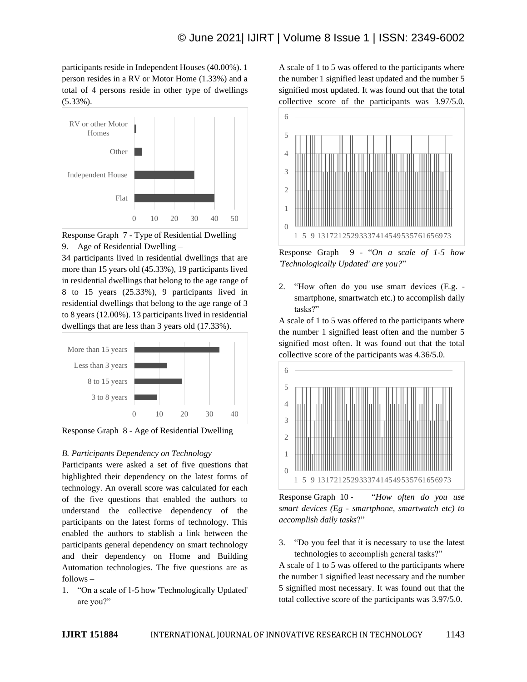participants reside in Independent Houses (40.00%). 1 person resides in a RV or Motor Home (1.33%) and a total of 4 persons reside in other type of dwellings (5.33%).



Response Graph 7 - Type of Residential Dwelling 9. Age of Residential Dwelling –

34 participants lived in residential dwellings that are more than 15 years old (45.33%), 19 participants lived in residential dwellings that belong to the age range of 8 to 15 years (25.33%), 9 participants lived in residential dwellings that belong to the age range of 3 to 8 years (12.00%). 13 participants lived in residential dwellings that are less than 3 years old (17.33%).



Response Graph 8 - Age of Residential Dwelling

# *B. Participants Dependency on Technology*

Participants were asked a set of five questions that highlighted their dependency on the latest forms of technology. An overall score was calculated for each of the five questions that enabled the authors to understand the collective dependency of the participants on the latest forms of technology. This enabled the authors to stablish a link between the participants general dependency on smart technology and their dependency on Home and Building Automation technologies. The five questions are as follows *–*

1. "On a scale of 1-5 how 'Technologically Updated' are you?"

A scale of 1 to 5 was offered to the participants where the number 1 signified least updated and the number 5 signified most updated. It was found out that the total collective score of the participants was 3.97/5.0.



Response Graph 9 - "*On a scale of 1-5 how 'Technologically Updated' are you?*"

2. "How often do you use smart devices (E.g. smartphone, smartwatch etc.) to accomplish daily tasks?"

A scale of 1 to 5 was offered to the participants where the number 1 signified least often and the number 5 signified most often. It was found out that the total collective score of the participants was 4.36/5.0.



Response Graph 10 - "*How often do you use smart devices (Eg - smartphone, smartwatch etc) to accomplish daily tasks*?"

3. "Do you feel that it is necessary to use the latest technologies to accomplish general tasks?"

A scale of 1 to 5 was offered to the participants where the number 1 signified least necessary and the number 5 signified most necessary. It was found out that the total collective score of the participants was 3.97/5.0.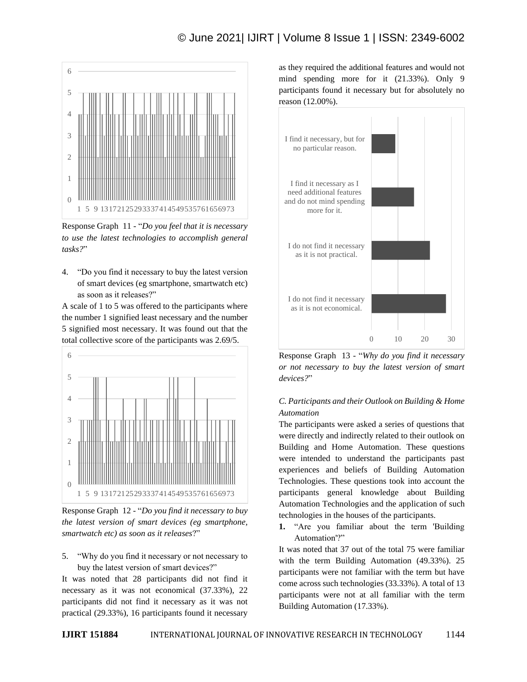

Response Graph 11 - "*Do you feel that it is necessary to use the latest technologies to accomplish general tasks?*"

4. "Do you find it necessary to buy the latest version of smart devices (eg smartphone, smartwatch etc) as soon as it releases?"

A scale of 1 to 5 was offered to the participants where the number 1 signified least necessary and the number 5 signified most necessary. It was found out that the total collective score of the participants was 2.69/5.



Response Graph 12 - "*Do you find it necessary to buy the latest version of smart devices (eg smartphone, smartwatch etc) as soon as it releases*?"

5. "Why do you find it necessary or not necessary to buy the latest version of smart devices?"

It was noted that 28 participants did not find it necessary as it was not economical (37.33%), 22 participants did not find it necessary as it was not practical (29.33%), 16 participants found it necessary as they required the additional features and would not mind spending more for it (21.33%). Only 9 participants found it necessary but for absolutely no reason (12.00%).



Response Graph 13 - "*Why do you find it necessary or not necessary to buy the latest version of smart devices?*"

# *C. Participants and their Outlook on Building & Home Automation*

The participants were asked a series of questions that were directly and indirectly related to their outlook on Building and Home Automation. These questions were intended to understand the participants past experiences and beliefs of Building Automation Technologies. These questions took into account the participants general knowledge about Building Automation Technologies and the application of such technologies in the houses of the participants.

**1.** "Are you familiar about the term 'Building Automation'?"

It was noted that 37 out of the total 75 were familiar with the term Building Automation (49.33%). 25 participants were not familiar with the term but have come across such technologies (33.33%). A total of 13 participants were not at all familiar with the term Building Automation (17.33%).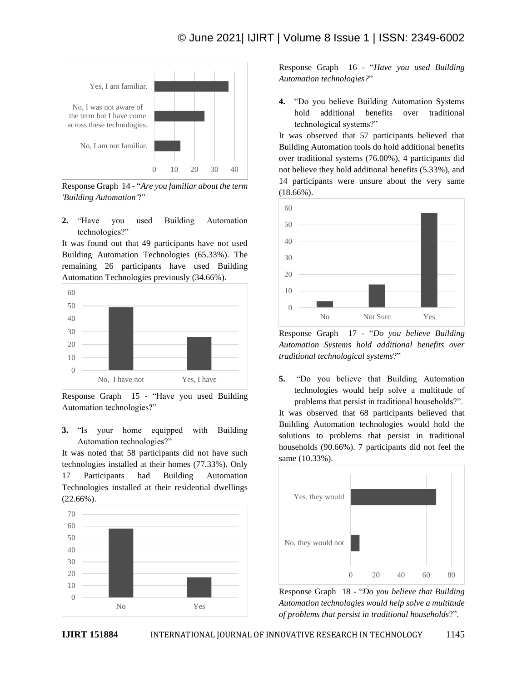

Response Graph 14 - "*Are you familiar about the term 'Building Automation'*?"

**2.** "Have you used Building Automation technologies?"

It was found out that 49 participants have not used Building Automation Technologies (65.33%). The remaining 26 participants have used Building Automation Technologies previously (34.66%).



Response Graph 15 - "Have you used Building Automation technologies?"

**3.** "Is your home equipped with Building Automation technologies?"

It was noted that 58 participants did not have such technologies installed at their homes (77.33%). Only 17 Participants had Building Automation Technologies installed at their residential dwellings (22.66%).



Response Graph 16 - "*Have you used Building Automation technologies?*"

**4.** "Do you believe Building Automation Systems hold additional benefits over traditional technological systems?"

It was observed that 57 participants believed that Building Automation tools do hold additional benefits over traditional systems (76.00%), 4 participants did not believe they hold additional benefits (5.33%), and 14 participants were unsure about the very same (18.66%).



Response Graph 17 - "*Do you believe Building Automation Systems hold additional benefits over traditional technological systems*?"

**5.** "Do you believe that Building Automation technologies would help solve a multitude of problems that persist in traditional households?".

It was observed that 68 participants believed that Building Automation technologies would hold the solutions to problems that persist in traditional households (90.66%). 7 participants did not feel the same (10.33%).



Response Graph 18 - "*Do you believe that Building Automation technologies would help solve a multitude of problems that persist in traditional households*?".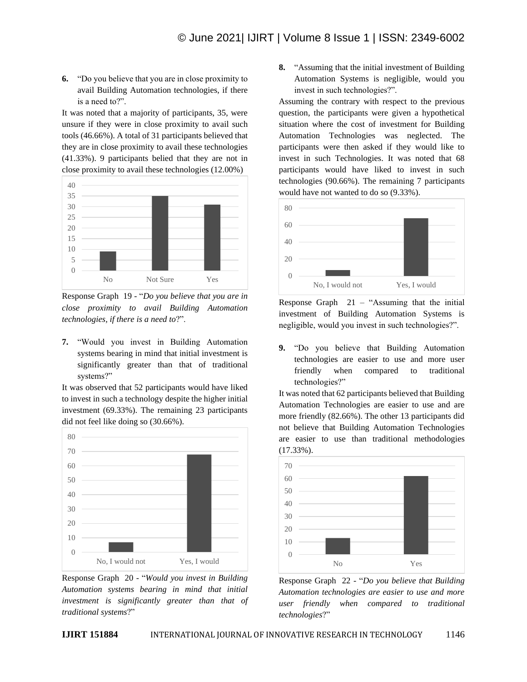**6.** "Do you believe that you are in close proximity to avail Building Automation technologies, if there is a need to?".

It was noted that a majority of participants, 35, were unsure if they were in close proximity to avail such tools (46.66%). A total of 31 participants believed that they are in close proximity to avail these technologies (41.33%). 9 participants belied that they are not in close proximity to avail these technologies (12.00%)



Response Graph 19 - "*Do you believe that you are in close proximity to avail Building Automation technologies, if there is a need to*?".

**7.** "Would you invest in Building Automation systems bearing in mind that initial investment is significantly greater than that of traditional systems?"

It was observed that 52 participants would have liked to invest in such a technology despite the higher initial investment (69.33%). The remaining 23 participants did not feel like doing so (30.66%).



Response Graph 20 - "*Would you invest in Building Automation systems bearing in mind that initial investment is significantly greater than that of traditional systems*?"

**8.** "Assuming that the initial investment of Building Automation Systems is negligible, would you invest in such technologies?".

Assuming the contrary with respect to the previous question, the participants were given a hypothetical situation where the cost of investment for Building Automation Technologies was neglected. The participants were then asked if they would like to invest in such Technologies. It was noted that 68 participants would have liked to invest in such technologies (90.66%). The remaining 7 participants would have not wanted to do so (9.33%).



Response Graph  $21 -$  "Assuming that the initial investment of Building Automation Systems is negligible, would you invest in such technologies?".

**9.** "Do you believe that Building Automation technologies are easier to use and more user friendly when compared to traditional technologies?"

It was noted that 62 participants believed that Building Automation Technologies are easier to use and are more friendly (82.66%). The other 13 participants did not believe that Building Automation Technologies are easier to use than traditional methodologies (17.33%).



Response Graph 22 - "*Do you believe that Building Automation technologies are easier to use and more user friendly when compared to traditional technologies*?"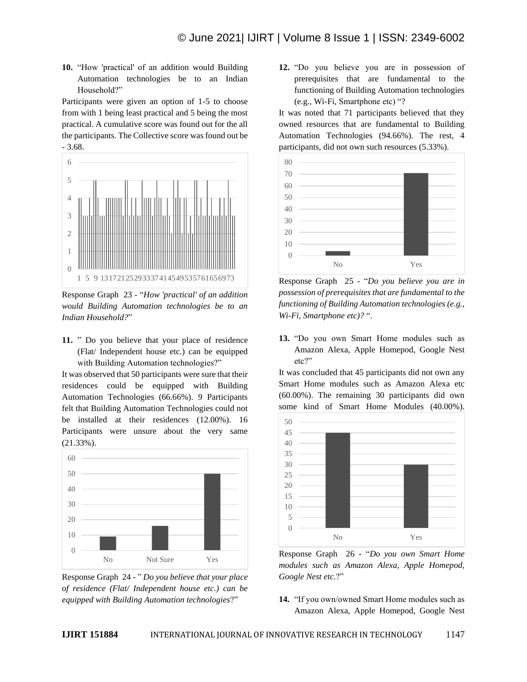**10.** "How 'practical' of an addition would Building Automation technologies be to an Indian Household?"

Participants were given an option of 1-5 to choose from with 1 being least practical and 5 being the most practical. A cumulative score was found out for the all the participants. The Collective score was found out be - 3.68.



Response Graph 23 - "*How 'practical' of an addition would Building Automation technologies be to an Indian Household?*"

**11.** " Do you believe that your place of residence (Flat/ Independent house etc.) can be equipped with Building Automation technologies?"

It was observed that 50 participants were sure that their residences could be equipped with Building Automation Technologies (66.66%). 9 Participants felt that Building Automation Technologies could not be installed at their residences (12.00%). 16 Participants were unsure about the very same (21.33%).



Response Graph 24 - " *Do you believe that your place of residence (Flat/ Independent house etc.) can be equipped with Building Automation technologies*?"

**12.** "Do you believe you are in possession of prerequisites that are fundamental to the functioning of Building Automation technologies (e.g., Wi-Fi, Smartphone etc) "?

It was noted that 71 participants believed that they owned resources that are fundamental to Building Automation Technologies (94.66%). The rest, 4 participants, did not own such resources (5.33%).



Response Graph 25 - "*Do you believe you are in possession of prerequisites that are fundamental to the functioning of Building Automation technologies (e.g., Wi-Fi, Smartphone etc)?* ".

**13.** "Do you own Smart Home modules such as Amazon Alexa, Apple Homepod, Google Nest etc?"

It was concluded that 45 participants did not own any Smart Home modules such as Amazon Alexa etc (60.00%). The remaining 30 participants did own some kind of Smart Home Modules (40.00%).



Response Graph 26 - "*Do you own Smart Home modules such as Amazon Alexa, Apple Homepod, Google Nest etc.*?"

**14.** "If you own/owned Smart Home modules such as Amazon Alexa, Apple Homepod, Google Nest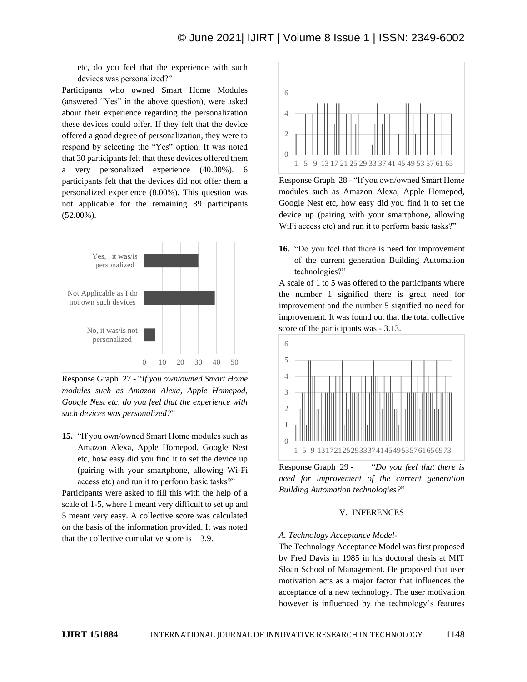etc, do you feel that the experience with such devices was personalized?"

Participants who owned Smart Home Modules (answered "Yes" in the above question), were asked about their experience regarding the personalization these devices could offer. If they felt that the device offered a good degree of personalization, they were to respond by selecting the "Yes" option. It was noted that 30 participants felt that these devices offered them a very personalized experience (40.00%). 6 participants felt that the devices did not offer them a personalized experience (8.00%). This question was not applicable for the remaining 39 participants (52.00%).



Response Graph 27 - "*If you own/owned Smart Home modules such as Amazon Alexa, Apple Homepod, Google Nest etc, do you feel that the experience with such devices was personalized?*"

**15.** "If you own/owned Smart Home modules such as Amazon Alexa, Apple Homepod, Google Nest etc, how easy did you find it to set the device up (pairing with your smartphone, allowing Wi-Fi access etc) and run it to perform basic tasks?"

Participants were asked to fill this with the help of a scale of 1-5, where 1 meant very difficult to set up and 5 meant very easy. A collective score was calculated on the basis of the information provided. It was noted that the collective cumulative score is  $-3.9$ .



Response Graph 28 - "If you own/owned Smart Home modules such as Amazon Alexa, Apple Homepod, Google Nest etc, how easy did you find it to set the device up (pairing with your smartphone, allowing WiFi access etc) and run it to perform basic tasks?"

**16.** "Do you feel that there is need for improvement of the current generation Building Automation technologies?"

A scale of 1 to 5 was offered to the participants where the number 1 signified there is great need for improvement and the number 5 signified no need for improvement. It was found out that the total collective score of the participants was - 3.13.



Response Graph 29 - "*Do you feel that there is need for improvement of the current generation Building Automation technologies?*"

# V. INFERENCES

# *A. Technology Acceptance Model-*

The Technology Acceptance Model was first proposed by Fred Davis in 1985 in his doctoral thesis at MIT Sloan School of Management. He proposed that user motivation acts as a major factor that influences the acceptance of a new technology. The user motivation however is influenced by the technology's features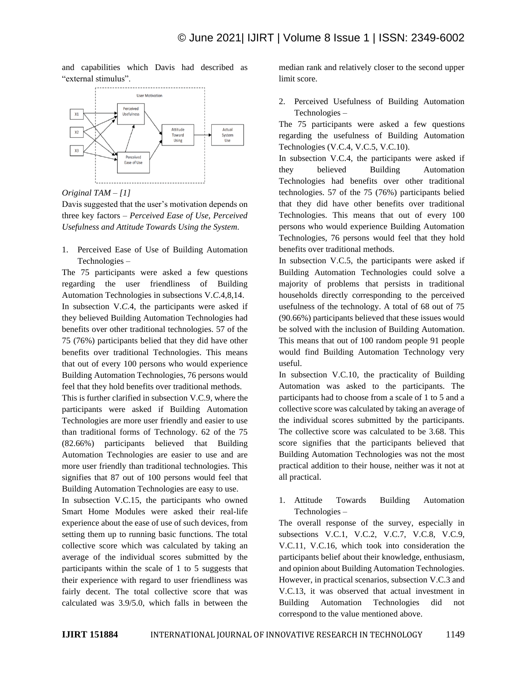and capabilities which Davis had described as "external stimulus".



*Original TAM – [1]*

Davis suggested that the user's motivation depends on three key factors – *Perceived Ease of Use, Perceived Usefulness and Attitude Towards Using the System.* 

1. Perceived Ease of Use of Building Automation Technologies –

The 75 participants were asked a few questions regarding the user friendliness of Building Automation Technologies in subsections V.*C*.4,8,14. In subsection V.*C*.4, the participants were asked if they believed Building Automation Technologies had benefits over other traditional technologies. 57 of the 75 (76%) participants belied that they did have other benefits over traditional Technologies. This means that out of every 100 persons who would experience Building Automation Technologies, 76 persons would feel that they hold benefits over traditional methods.

This is further clarified in subsection V.C.9, where the participants were asked if Building Automation Technologies are more user friendly and easier to use than traditional forms of Technology. 62 of the 75 (82.66%) participants believed that Building Automation Technologies are easier to use and are more user friendly than traditional technologies. This signifies that 87 out of 100 persons would feel that Building Automation Technologies are easy to use.

In subsection V.C.15, the participants who owned Smart Home Modules were asked their real-life experience about the ease of use of such devices, from setting them up to running basic functions. The total collective score which was calculated by taking an average of the individual scores submitted by the participants within the scale of 1 to 5 suggests that their experience with regard to user friendliness was fairly decent. The total collective score that was calculated was 3.9/5.0, which falls in between the

median rank and relatively closer to the second upper limit score.

2. Perceived Usefulness of Building Automation Technologies –

The 75 participants were asked a few questions regarding the usefulness of Building Automation Technologies (V.C.4, V.C.5, V.C.10).

In subsection V.C.4, the participants were asked if they believed Building Automation Technologies had benefits over other traditional technologies. 57 of the 75 (76%) participants belied that they did have other benefits over traditional Technologies. This means that out of every 100 persons who would experience Building Automation Technologies, 76 persons would feel that they hold benefits over traditional methods.

In subsection V.C.5, the participants were asked if Building Automation Technologies could solve a majority of problems that persists in traditional households directly corresponding to the perceived usefulness of the technology. A total of 68 out of 75 (90.66%) participants believed that these issues would be solved with the inclusion of Building Automation. This means that out of 100 random people 91 people would find Building Automation Technology very useful.

In subsection V.C.10, the practicality of Building Automation was asked to the participants. The participants had to choose from a scale of 1 to 5 and a collective score was calculated by taking an average of the individual scores submitted by the participants. The collective score was calculated to be 3.68. This score signifies that the participants believed that Building Automation Technologies was not the most practical addition to their house, neither was it not at all practical.

1. Attitude Towards Building Automation Technologies –

The overall response of the survey, especially in subsections V.C.1, V.C.2, V.C.7, V.C.8, V.C.9, V.C.11, V.C.16, which took into consideration the participants belief about their knowledge, enthusiasm, and opinion about Building Automation Technologies. However, in practical scenarios, subsection V.C.3 and V.C.13, it was observed that actual investment in Building Automation Technologies did not correspond to the value mentioned above.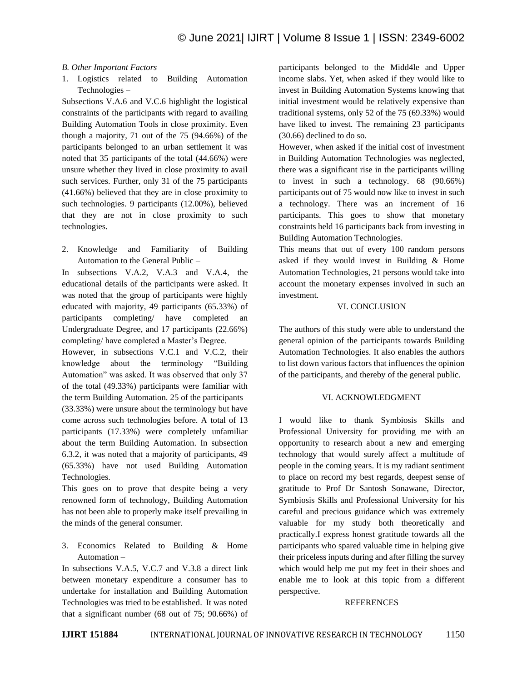## *B. Other Important Factors –*

1. Logistics related to Building Automation Technologies –

Subsections V.A.6 and V.C.6 highlight the logistical constraints of the participants with regard to availing Building Automation Tools in close proximity. Even though a majority, 71 out of the 75 (94.66%) of the participants belonged to an urban settlement it was noted that 35 participants of the total (44.66%) were unsure whether they lived in close proximity to avail such services. Further, only 31 of the 75 participants (41.66%) believed that they are in close proximity to such technologies. 9 participants (12.00%), believed that they are not in close proximity to such technologies.

2. Knowledge and Familiarity of Building Automation to the General Public –

In subsections V.A.2, V.A.3 and V.A.4, the educational details of the participants were asked. It was noted that the group of participants were highly educated with majority, 49 participants (65.33%) of participants completing/ have completed an Undergraduate Degree, and 17 participants (22.66%) completing/ have completed a Master's Degree.

However, in subsections V.C.1 and V.C.2, their knowledge about the terminology "Building Automation" was asked. It was observed that only 37 of the total (49.33%) participants were familiar with the term Building Automation. 25 of the participants (33.33%) were unsure about the terminology but have come across such technologies before. A total of 13 participants (17.33%) were completely unfamiliar about the term Building Automation. In subsection 6.3.2, it was noted that a majority of participants, 49 (65.33%) have not used Building Automation Technologies.

This goes on to prove that despite being a very renowned form of technology, Building Automation has not been able to properly make itself prevailing in the minds of the general consumer.

3. Economics Related to Building & Home Automation –

In subsections V.A.5, V.C.7 and V.3.8 a direct link between monetary expenditure a consumer has to undertake for installation and Building Automation Technologies was tried to be established. It was noted that a significant number (68 out of 75; 90.66%) of participants belonged to the Midd4le and Upper income slabs. Yet, when asked if they would like to invest in Building Automation Systems knowing that initial investment would be relatively expensive than traditional systems, only 52 of the 75 (69.33%) would have liked to invest. The remaining 23 participants (30.66) declined to do so.

However, when asked if the initial cost of investment in Building Automation Technologies was neglected, there was a significant rise in the participants willing to invest in such a technology. 68 (90.66%) participants out of 75 would now like to invest in such a technology. There was an increment of 16 participants. This goes to show that monetary constraints held 16 participants back from investing in Building Automation Technologies.

This means that out of every 100 random persons asked if they would invest in Building & Home Automation Technologies, 21 persons would take into account the monetary expenses involved in such an investment.

## VI. CONCLUSION

The authors of this study were able to understand the general opinion of the participants towards Building Automation Technologies. It also enables the authors to list down various factors that influences the opinion of the participants, and thereby of the general public.

# VI. ACKNOWLEDGMENT

I would like to thank Symbiosis Skills and Professional University for providing me with an opportunity to research about a new and emerging technology that would surely affect a multitude of people in the coming years. It is my radiant sentiment to place on record my best regards, deepest sense of gratitude to Prof Dr Santosh Sonawane, Director, Symbiosis Skills and Professional University for his careful and precious guidance which was extremely valuable for my study both theoretically and practically.I express honest gratitude towards all the participants who spared valuable time in helping give their priceless inputs during and after filling the survey which would help me put my feet in their shoes and enable me to look at this topic from a different perspective.

#### REFERENCES